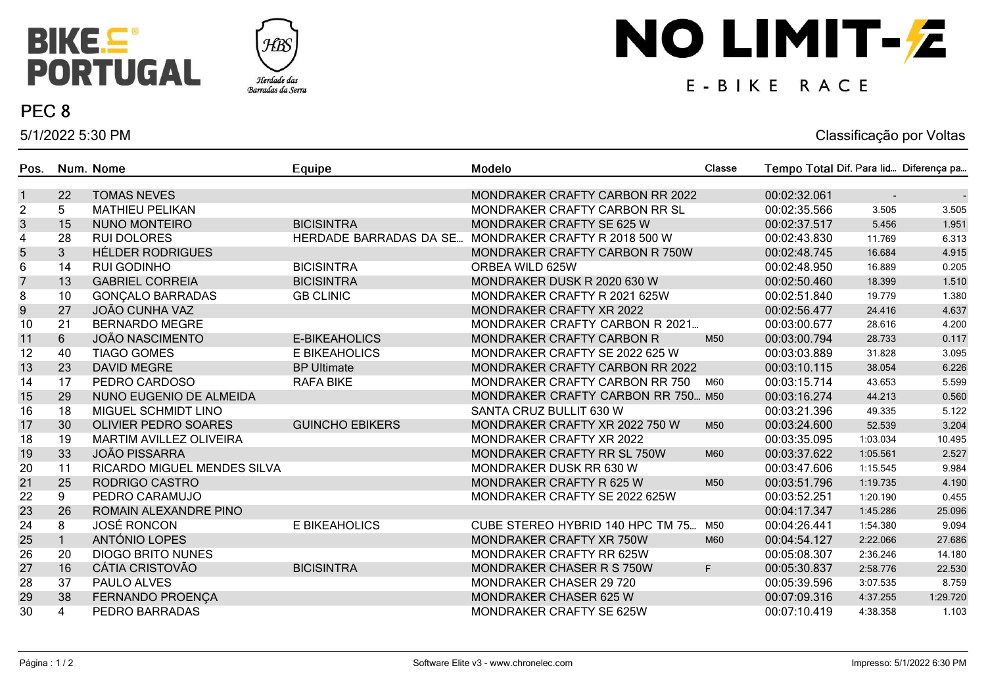



## PEC<sub>8</sub>

5/1/2022 5:30 PM

# NO LIMIT-Z

## E-BIKE RACE

### Classificação por Voltas

| Pos.                      |                | Num. Nome                      | Equipe                        | Modelo                             | Classe | Tempo Total Dif. Para lid Diferença pa |          |          |
|---------------------------|----------------|--------------------------------|-------------------------------|------------------------------------|--------|----------------------------------------|----------|----------|
| $\mathbf{1}$              | 22             | <b>TOMAS NEVES</b>             |                               | MONDRAKER CRAFTY CARBON RR 2022    |        | 00:02:32.061                           |          |          |
| $\boldsymbol{2}$          | 5              | <b>MATHIEU PELIKAN</b>         |                               | MONDRAKER CRAFTY CARBON RR SL      |        | 00:02:35.566                           | 3.505    | 3.505    |
| $\ensuremath{\mathsf{3}}$ | 15             | <b>NUNO MONTEIRO</b>           | <b>BICISINTRA</b>             | MONDRAKER CRAFTY SE 625 W          |        | 00:02:37.517                           | 5.456    | 1.951    |
| 4                         | 28             | <b>RUI DOLORES</b>             | <b>HERDADE BARRADAS DA SE</b> | MONDRAKER CRAFTY R 2018 500 W      |        | 00:02:43.830                           | 11.769   | 6.313    |
| 5                         | 3              | <b>HÉLDER RODRIGUES</b>        |                               | MONDRAKER CRAFTY CARBON R 750W     |        | 00:02:48.745                           | 16.684   | 4.915    |
| 6                         | 14             | <b>RUI GODINHO</b>             | <b>BICISINTRA</b>             | ORBEA WILD 625W                    |        | 00:02:48.950                           | 16.889   | 0.205    |
| $\overline{7}$            | 13             | <b>GABRIEL CORREIA</b>         | <b>BICISINTRA</b>             | MONDRAKER DUSK R 2020 630 W        |        | 00:02:50.460                           | 18.399   | 1.510    |
| 8                         | 10             | <b>GONÇALO BARRADAS</b>        | <b>GB CLINIC</b>              | MONDRAKER CRAFTY R 2021 625W       |        | 00:02:51.840                           | 19.779   | 1.380    |
| $\boldsymbol{9}$          | 27             | <b>JOÃO CUNHA VAZ</b>          |                               | MONDRAKER CRAFTY XR 2022           |        | 00:02:56.477                           | 24.416   | 4.637    |
| 10                        | 21             | <b>BERNARDO MEGRE</b>          |                               | MONDRAKER CRAFTY CARBON R 2021     |        | 00:03:00.677                           | 28.616   | 4.200    |
| 11                        | $6\phantom{.}$ | <b>JOÃO NASCIMENTO</b>         | <b>E-BIKEAHOLICS</b>          | MONDRAKER CRAFTY CARBON R          | M50    | 00:03:00.794                           | 28.733   | 0.117    |
| 12                        | 40             | <b>TIAGO GOMES</b>             | E BIKEAHOLICS                 | MONDRAKER CRAFTY SE 2022 625 W     |        | 00:03:03.889                           | 31.828   | 3.095    |
| 13                        | 23             | <b>DAVID MEGRE</b>             | <b>BP Ultimate</b>            | MONDRAKER CRAFTY CARBON RR 2022    |        | 00:03:10.115                           | 38.054   | 6.226    |
| 14                        | 17             | PEDRO CARDOSO                  | <b>RAFA BIKE</b>              | MONDRAKER CRAFTY CARBON RR 750     | M60    | 00:03:15.714                           | 43.653   | 5.599    |
| 15                        | 29             | NUNO EUGENIO DE ALMEIDA        |                               | MONDRAKER CRAFTY CARBON RR 750 M50 |        | 00:03:16.274                           | 44.213   | 0.560    |
| 16                        | 18             | MIGUEL SCHMIDT LINO            |                               | SANTA CRUZ BULLIT 630 W            |        | 00:03:21.396                           | 49.335   | 5.122    |
| 17                        | 30             | <b>OLIVIER PEDRO SOARES</b>    | <b>GUINCHO EBIKERS</b>        | MONDRAKER CRAFTY XR 2022 750 W     | M50    | 00:03:24.600                           | 52.539   | 3.204    |
| 18                        | 19             | <b>MARTIM AVILLEZ OLIVEIRA</b> |                               | MONDRAKER CRAFTY XR 2022           |        | 00:03:35.095                           | 1:03.034 | 10.495   |
| 19                        | 33             | <b>JOÃO PISSARRA</b>           |                               | MONDRAKER CRAFTY RR SL 750W        | M60    | 00:03:37.622                           | 1:05.561 | 2.527    |
| 20                        | 11             | RICARDO MIGUEL MENDES SILVA    |                               | MONDRAKER DUSK RR 630 W            |        | 00:03:47.606                           | 1:15.545 | 9.984    |
| 21                        | 25             | RODRIGO CASTRO                 |                               | MONDRAKER CRAFTY R 625 W           | M50    | 00:03:51.796                           | 1:19.735 | 4.190    |
| 22                        | 9              | PEDRO CARAMUJO                 |                               | MONDRAKER CRAFTY SE 2022 625W      |        | 00:03:52.251                           | 1:20.190 | 0.455    |
| 23                        | 26             | ROMAIN ALEXANDRE PINO          |                               |                                    |        | 00:04:17.347                           | 1:45.286 | 25.096   |
| 24                        | 8              | JOSÉ RONCON                    | E BIKEAHOLICS                 | CUBE STEREO HYBRID 140 HPC TM 75   | M50    | 00:04:26.441                           | 1:54.380 | 9.094    |
| 25                        |                | ANTÓNIO LOPES                  |                               | MONDRAKER CRAFTY XR 750W           | M60    | 00:04:54.127                           | 2:22.066 | 27.686   |
| 26                        | 20             | <b>DIOGO BRITO NUNES</b>       |                               | MONDRAKER CRAFTY RR 625W           |        | 00:05:08.307                           | 2:36.246 | 14.180   |
| 27                        | 16             | <b>CÁTIA CRISTOVÃO</b>         | <b>BICISINTRA</b>             | MONDRAKER CHASER R S 750W          | F.     | 00:05:30.837                           | 2:58.776 | 22.530   |
| 28                        | 37             | PAULO ALVES                    |                               | <b>MONDRAKER CHASER 29 720</b>     |        | 00:05:39.596                           | 3:07.535 | 8.759    |
| 29                        | 38             | FERNANDO PROENÇA               |                               | <b>MONDRAKER CHASER 625 W</b>      |        | 00:07:09.316                           | 4:37.255 | 1:29.720 |
| 30                        | 4              | PEDRO BARRADAS                 |                               | MONDRAKER CRAFTY SE 625W           |        | 00:07:10.419                           | 4:38.358 | 1.103    |